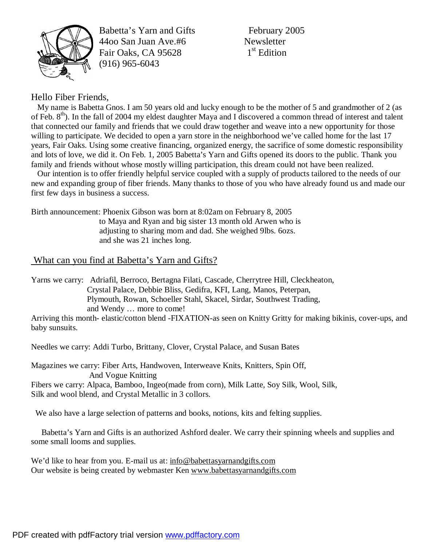

Babetta's Yarn and Gifts February 2005 44oo San Juan Ave.#6 Newsletter Fair Oaks, CA 95628  $1<sup>st</sup>$  Edition (916) 965-6043

## Hello Fiber Friends,

 My name is Babetta Gnos. I am 50 years old and lucky enough to be the mother of 5 and grandmother of 2 (as of Feb.  $8<sup>th</sup>$ ). In the fall of 2004 my eldest daughter Maya and I discovered a common thread of interest and talent that connected our family and friends that we could draw together and weave into a new opportunity for those willing to participate. We decided to open a yarn store in the neighborhood we've called home for the last 17 years, Fair Oaks. Using some creative financing, organized energy, the sacrifice of some domestic responsibility and lots of love, we did it. On Feb. 1, 2005 Babetta's Yarn and Gifts opened its doors to the public. Thank you family and friends without whose mostly willing participation, this dream could not have been realized.

Our intention is to offer friendly helpful service coupled with a supply of products tailored to the needs of our new and expanding group of fiber friends. Many thanks to those of you who have already found us and made our first few days in business a success.

Birth announcement: Phoenix Gibson was born at 8:02am on February 8, 2005

 to Maya and Ryan and big sister 13 month old Arwen who is adjusting to sharing mom and dad. She weighed 9lbs. 6ozs. and she was 21 inches long.

## What can you find at Babetta's Yarn and Gifts?

Yarns we carry: Adriafil, Berroco, Bertagna Filati, Cascade, Cherrytree Hill, Cleckheaton, Crystal Palace, Debbie Bliss, Gedifra, KFI, Lang, Manos, Peterpan, Plymouth, Rowan, Schoeller Stahl, Skacel, Sirdar, Southwest Trading, and Wendy … more to come!

Arriving this month- elastic/cotton blend -FIXATION-as seen on Knitty Gritty for making bikinis, cover-ups, and baby sunsuits.

Needles we carry: Addi Turbo, Brittany, Clover, Crystal Palace, and Susan Bates

Magazines we carry: Fiber Arts, Handwoven, Interweave Knits, Knitters, Spin Off, And Vogue Knitting Fibers we carry: Alpaca, Bamboo, Ingeo(made from corn), Milk Latte, Soy Silk, Wool, Silk, Silk and wool blend, and Crystal Metallic in 3 collors.

We also have a large selection of patterns and books, notions, kits and felting supplies.

Babetta's Yarn and Gifts is an authorized Ashford dealer. We carry their spinning wheels and supplies and some small looms and supplies.

We'd like to hear from you. E-mail us at: [info@babettasyarnandgifts.com](mailto:info@babettasyarnandgifts.com) Our website is being created by webmaster Ken [www.babettasyarnandgifts.com](http://www.babettasyarnandgifts.com)